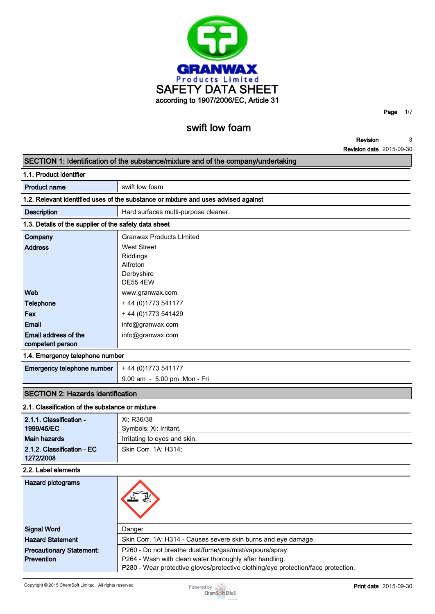

**Page 1/7**

**Revision Revision date 2015-09-30 3**

|                                                       | swift low foam                                                                     |                                 |   |
|-------------------------------------------------------|------------------------------------------------------------------------------------|---------------------------------|---|
|                                                       |                                                                                    | Revision                        | 3 |
|                                                       |                                                                                    | <b>Revision date 2015-09-30</b> |   |
|                                                       | SECTION 1: Identification of the substance/mixture and of the company/undertaking  |                                 |   |
| 1.1. Product identifier                               |                                                                                    |                                 |   |
| <b>Product name</b>                                   | swift low foam                                                                     |                                 |   |
|                                                       | 1.2. Relevant identified uses of the substance or mixture and uses advised against |                                 |   |
| <b>Description</b>                                    | Hard surfaces multi-purpose cleaner.                                               |                                 |   |
| 1.3. Details of the supplier of the safety data sheet |                                                                                    |                                 |   |
| Company                                               | <b>Granwax Products Limited</b>                                                    |                                 |   |
| <b>Address</b>                                        | <b>West Street</b><br>Riddings<br>Alfreton<br>Derbyshire<br><b>DE55 4EW</b>        |                                 |   |
| Web                                                   | www.granwax.com                                                                    |                                 |   |
| <b>Telephone</b>                                      | + 44 (0) 1773 541177                                                               |                                 |   |
| Fax                                                   | +44 (0) 1773 541429                                                                |                                 |   |
| Email                                                 | info@granwax.com                                                                   |                                 |   |
| Email address of the<br>competent person              | info@granwax.com                                                                   |                                 |   |
| 1.4. Emergency telephone number                       |                                                                                    |                                 |   |
| Emergency telephone number                            | + 44 (0) 1773 541177                                                               |                                 |   |
|                                                       | 9.00 am - 5.00 pm Mon - Fri                                                        |                                 |   |
| <b>SECTION 2: Hazards identification</b>              |                                                                                    |                                 |   |
| 2.1. Classification of the substance or mixture       |                                                                                    |                                 |   |
| 2.1.1. Classification -                               | $Y - P36/38$                                                                       |                                 |   |

| 2.1. Classification of the substance or mixture |  |  |  |  |
|-------------------------------------------------|--|--|--|--|
|                                                 |  |  |  |  |

| 2.1.1. Classification -<br>1999/45/EC<br><b>Main hazards</b> | Xi; R36/38<br>Symbols: Xi: Irritant.                                              |
|--------------------------------------------------------------|-----------------------------------------------------------------------------------|
| 2.1.2. Classification - EC                                   | Irritating to eyes and skin.<br>Skin Corr. 1A: H314;                              |
| 1272/2008                                                    |                                                                                   |
| 2.2. Label elements                                          |                                                                                   |
| Hazard pictograms                                            |                                                                                   |
| <b>Signal Word</b>                                           | Danger                                                                            |
| <b>Hazard Statement</b>                                      | Skin Corr. 1A: H314 - Causes severe skin burns and eye damage.                    |
| <b>Precautionary Statement:</b>                              | P260 - Do not breathe dust/fume/gas/mist/vapours/spray.                           |
| <b>Prevention</b>                                            | P264 - Wash with clean water thoroughly after handling.                           |
|                                                              | P280 - Wear protective gloves/protective clothing/eye protection/face protection. |

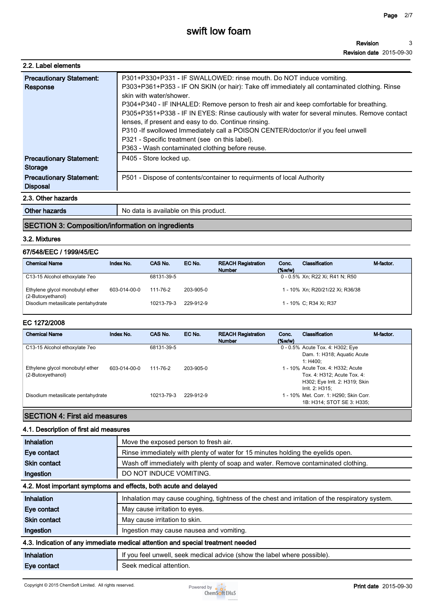| 2.2. Label elements             |                                                                                              |
|---------------------------------|----------------------------------------------------------------------------------------------|
| <b>Precautionary Statement:</b> | P301+P330+P331 - IF SWALLOWED: rinse mouth. Do NOT induce vomiting.                          |
| Response                        | P303+P361+P353 - IF ON SKIN (or hair): Take off immediately all contaminated clothing. Rinse |
|                                 | skin with water/shower                                                                       |
|                                 | P304+P340 - IF INHALED: Remove person to fresh air and keep comfortable for breathing.       |
|                                 | P305+P351+P338 - IF IN EYES: Rinse cautiously with water for several minutes. Remove contact |
|                                 | lenses, if present and easy to do. Continue rinsing.                                         |
|                                 | P310 - If swollowed Immediately call a POISON CENTER/doctor/or if you feel unwell            |
|                                 | P321 - Specific treatment (see on this label).                                               |
|                                 | P363 - Wash contaminated clothing before reuse.                                              |
| <b>Precautionary Statement:</b> | P405 - Store locked up.                                                                      |
| Storage                         |                                                                                              |
| <b>Precautionary Statement:</b> | P501 - Dispose of contents/container to requirments of local Authority                       |
| <b>Disposal</b>                 |                                                                                              |
| 2.3. Other hazards              |                                                                                              |

**Other hazards No data is available on this product.** 

## **SECTION 3: Composition/information on ingredients**

#### **3.2. Mixtures**

#### **67/548/EEC / 1999/45/EC**

| <b>Chemical Name</b>                                 | Index No.    | CAS No.    | EC No.    | <b>REACH Registration</b><br><b>Number</b> | Conc.<br>$(\%w/w)$ | Classification                   | M-factor. |
|------------------------------------------------------|--------------|------------|-----------|--------------------------------------------|--------------------|----------------------------------|-----------|
| C13-15 Alcohol ethoxylate 7eo                        |              | 68131-39-5 |           |                                            |                    | 0 - 0.5% Xn; R22 Xi; R41 N; R50  |           |
| Ethylene glycol monobutyl ether<br>(2-Butoxyethanol) | 603-014-00-0 | 111-76-2   | 203-905-0 |                                            |                    | 1 - 10% Xn; R20/21/22 Xi; R36/38 |           |
| Disodium metasilicate pentahydrate                   |              | 10213-79-3 | 229-912-9 |                                            |                    | 1 - 10% C; R34 Xi; R37           |           |

#### **EC 1272/2008**

| <b>Chemical Name</b>                                 | Index No.    | CAS No.    | EC No.    | <b>REACH Registration</b><br><b>Number</b> | Conc.<br>$(\%w/w)$ | Classification                                                                                     | M-factor. |
|------------------------------------------------------|--------------|------------|-----------|--------------------------------------------|--------------------|----------------------------------------------------------------------------------------------------|-----------|
| C13-15 Alcohol ethoxylate 7eo                        |              | 68131-39-5 |           |                                            |                    | 0 - 0.5% Acute Tox. 4: H302; Eye<br>Dam. 1: H318; Aquatic Acute<br>1: H400:                        |           |
| Ethylene glycol monobutyl ether<br>(2-Butoxyethanol) | 603-014-00-0 | 111-76-2   | 203-905-0 |                                            |                    | 1 - 10% Acute Tox. 4: H332; Acute<br>Tox. 4: H312; Acute Tox. 4:<br>H302; Eye Irrit. 2: H319; Skin |           |
| Disodium metasilicate pentahydrate                   |              | 10213-79-3 | 229-912-9 |                                            |                    | Irrit. 2: H315:<br>1 - 10% Met. Corr. 1: H290; Skin Corr.<br>1B: H314: STOT SE 3: H335:            |           |

## **SECTION 4: First aid measures**

## **4.1. Description of first aid measures**

| Inhalation          | Move the exposed person to fresh air.                                                           |
|---------------------|-------------------------------------------------------------------------------------------------|
| Eye contact         | Rinse immediately with plenty of water for 15 minutes holding the eyelids open.                 |
| <b>Skin contact</b> | Wash off immediately with plenty of soap and water. Remove contaminated clothing.               |
| Ingestion           | DO NOT INDUCE VOMITING.                                                                         |
|                     | 4.2. Most important symptoms and effects, both acute and delayed                                |
| Inhalation          | Inhalation may cause coughing, tightness of the chest and irritation of the respiratory system. |
| Eye contact         | May cause irritation to eyes.                                                                   |
| <b>Skin contact</b> | May cause irritation to skin.                                                                   |
| Ingestion           | Ingestion may cause nausea and vomiting.                                                        |
|                     | 4.3. Indication of any immediate medical attention and special treatment needed                 |
| Inhalation          | If you feel unwell, seek medical advice (show the label where possible).                        |
| Eye contact         | Seek medical attention.                                                                         |

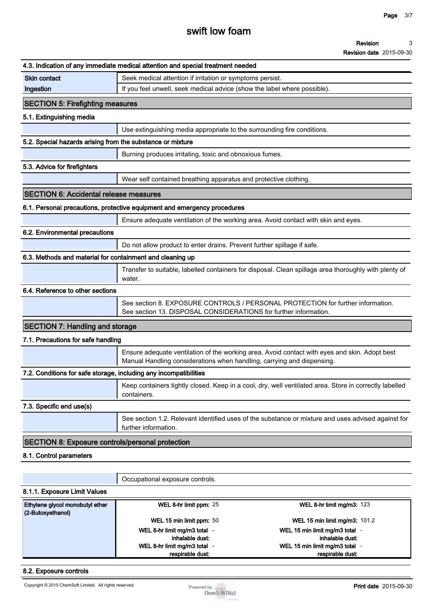# **swift low foam**

#### **Revision 3**

**Revision date 2015-09-30**

|                                                                   | 4.3. Indication of any immediate medical attention and special treatment needed                                                                                         |
|-------------------------------------------------------------------|-------------------------------------------------------------------------------------------------------------------------------------------------------------------------|
| <b>Skin contact</b>                                               | Seek medical attention if irritation or symptoms persist.                                                                                                               |
| Ingestion                                                         | If you feel unwell, seek medical advice (show the label where possible).                                                                                                |
| <b>SECTION 5: Firefighting measures</b>                           |                                                                                                                                                                         |
| 5.1. Extinguishing media                                          |                                                                                                                                                                         |
|                                                                   | Use extinguishing media appropriate to the surrounding fire conditions.                                                                                                 |
| 5.2. Special hazards arising from the substance or mixture        |                                                                                                                                                                         |
|                                                                   | Burning produces irritating, toxic and obnoxious fumes.                                                                                                                 |
| 5.3. Advice for firefighters                                      |                                                                                                                                                                         |
|                                                                   | Wear self contained breathing apparatus and protective clothing.                                                                                                        |
| <b>SECTION 6: Accidental release measures</b>                     |                                                                                                                                                                         |
|                                                                   | 6.1. Personal precautions, protective equipment and emergency procedures                                                                                                |
|                                                                   | Ensure adequate ventilation of the working area. Avoid contact with skin and eyes.                                                                                      |
| 6.2. Environmental precautions                                    |                                                                                                                                                                         |
|                                                                   | Do not allow product to enter drains. Prevent further spillage if safe.                                                                                                 |
| 6.3. Methods and material for containment and cleaning up         |                                                                                                                                                                         |
|                                                                   | Transfer to suitable, labelled containers for disposal. Clean spillage area thoroughly with plenty of<br>water.                                                         |
| 6.4. Reference to other sections                                  |                                                                                                                                                                         |
|                                                                   | See section 8. EXPOSURE CONTROLS / PERSONAL PROTECTION for further information.<br>See section 13. DISPOSAL CONSIDERATIONS for further information.                     |
| <b>SECTION 7: Handling and storage</b>                            |                                                                                                                                                                         |
| 7.1. Precautions for safe handling                                |                                                                                                                                                                         |
|                                                                   | Ensure adequate ventilation of the working area. Avoid contact with eyes and skin. Adopt best<br>Manual Handling considerations when handling, carrying and dispensing. |
| 7.2. Conditions for safe storage, including any incompatibilities |                                                                                                                                                                         |
|                                                                   | Keep containers tightly closed. Keep in a cool, dry, well ventilated area. Store in correctly labelled<br>containers.                                                   |
| 7.3. Specific end use(s)                                          |                                                                                                                                                                         |
|                                                                   | See section 1.2. Relevant identified uses of the substance or mixture and uses advised against for<br>further information.                                              |
| <b>SECTION 8: Exposure controls/personal protection</b>           |                                                                                                                                                                         |
| 8.1. Control parameters                                           |                                                                                                                                                                         |
|                                                                   |                                                                                                                                                                         |
|                                                                   | Occupational exposure controls.                                                                                                                                         |
| 8.1.1. Exposure Limit Values                                      |                                                                                                                                                                         |
| Ethylene glycol monobutyl ether<br>(2-Butoxyethanol)              | WEL 8-hr limit ppm: 25<br>WEL 8-hr limit mg/m3: 123                                                                                                                     |

**WEL 15 min limit ppm: 50 WEL 15 min limit mg/m3: 101.2**

## **8.2. Exposure controls**

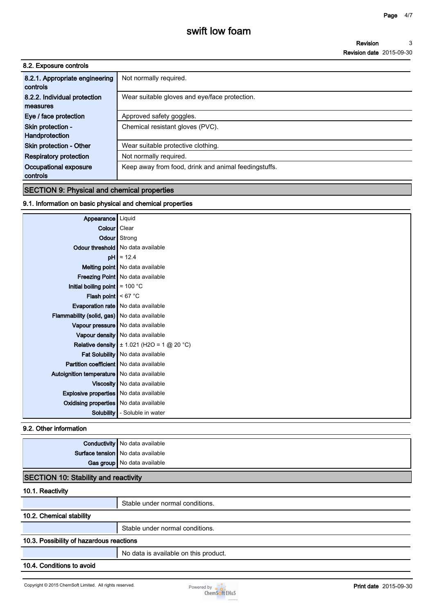| 8.2. Exposure controls                     |                                                      |
|--------------------------------------------|------------------------------------------------------|
| 8.2.1. Appropriate engineering<br>controls | Not normally required.                               |
| 8.2.2. Individual protection<br>measures   | Wear suitable gloves and eye/face protection.        |
| Eye / face protection                      | Approved safety goggles.                             |
| Skin protection -<br>Handprotection        | Chemical resistant gloves (PVC).                     |
| <b>Skin protection - Other</b>             | Wear suitable protective clothing.                   |
| <b>Respiratory protection</b>              | Not normally required.                               |
| Occupational exposure<br>controls          | Keep away from food, drink and animal feedingstuffs. |
|                                            |                                                      |

## **SECTION 9: Physical and chemical properties**

## **9.1. Information on basic physical and chemical properties**

| Appearance   Liquid                                |                                                       |
|----------------------------------------------------|-------------------------------------------------------|
| Colour   Clear                                     |                                                       |
|                                                    | <b>Odour</b> Strong                                   |
|                                                    | Odour threshold   No data available                   |
|                                                    | $pH \approx 12.4$                                     |
|                                                    | Melting point   No data available                     |
|                                                    | Freezing Point   No data available                    |
| Initial boiling point $\approx 100$ °C             |                                                       |
| <b>Flash point</b> $\leq 67$ °C                    |                                                       |
|                                                    | <b>Evaporation rate</b>   No data available           |
| <b>Flammability (solid, gas)</b> No data available |                                                       |
|                                                    | Vapour pressure   No data available                   |
|                                                    | Vapour density   No data available                    |
|                                                    | <b>Relative density</b> $\pm$ 1.021 (H2O = 1 @ 20 °C) |
|                                                    | Fat Solubility   No data available                    |
| <b>Partition coefficient</b> No data available     |                                                       |
| Autoignition temperature   No data available       |                                                       |
|                                                    | Viscosity   No data available                         |
| <b>Explosive properties</b> No data available      |                                                       |
| <b>Oxidising properties</b> No data available      |                                                       |
| Solubility                                         | - Soluble in water                                    |
|                                                    |                                                       |

#### **9.2. Other information**

| <b>Conductivity</b> No data available |
|---------------------------------------|
| Surface tension   No data available   |
| Gas group No data available           |
|                                       |

## **SECTION 10: Stability and reactivity**

#### **10.1. Reactivity**

|                                          | Stable under normal conditions.       |  |
|------------------------------------------|---------------------------------------|--|
| 10.2. Chemical stability                 |                                       |  |
|                                          | Stable under normal conditions.       |  |
| 10.3. Possibility of hazardous reactions |                                       |  |
|                                          | No data is available on this product. |  |
| 10.4. Conditions to avoid                |                                       |  |

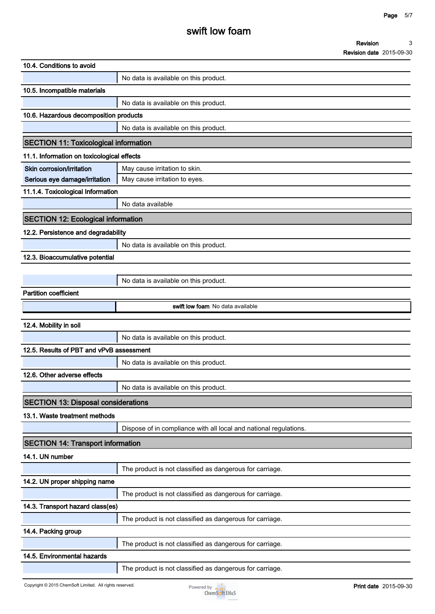| 10.4. Conditions to avoid                    |                                                                   |  |
|----------------------------------------------|-------------------------------------------------------------------|--|
|                                              | No data is available on this product.                             |  |
| 10.5. Incompatible materials                 |                                                                   |  |
|                                              | No data is available on this product.                             |  |
| 10.6. Hazardous decomposition products       |                                                                   |  |
|                                              | No data is available on this product.                             |  |
| <b>SECTION 11: Toxicological information</b> |                                                                   |  |
| 11.1. Information on toxicological effects   |                                                                   |  |
| Skin corrosion/irritation                    | May cause irritation to skin.                                     |  |
| Serious eye damage/irritation                | May cause irritation to eyes.                                     |  |
| 11.1.4. Toxicological Information            |                                                                   |  |
|                                              | No data available                                                 |  |
| <b>SECTION 12: Ecological information</b>    |                                                                   |  |
| 12.2. Persistence and degradability          |                                                                   |  |
|                                              | No data is available on this product.                             |  |
| 12.3. Bioaccumulative potential              |                                                                   |  |
|                                              |                                                                   |  |
|                                              | No data is available on this product.                             |  |
| <b>Partition coefficient</b>                 |                                                                   |  |
|                                              | swift low foam No data available                                  |  |
| 12.4. Mobility in soil                       |                                                                   |  |
|                                              | No data is available on this product.                             |  |
| 12.5. Results of PBT and vPvB assessment     |                                                                   |  |
|                                              | No data is available on this product.                             |  |
| 12.6. Other adverse effects                  |                                                                   |  |
|                                              | No data is available on this product.                             |  |
| <b>SECTION 13: Disposal considerations</b>   |                                                                   |  |
| 13.1. Waste treatment methods                |                                                                   |  |
|                                              | Dispose of in compliance with all local and national regulations. |  |
| <b>SECTION 14: Transport information</b>     |                                                                   |  |
| 14.1. UN number                              |                                                                   |  |
|                                              | The product is not classified as dangerous for carriage.          |  |
| 14.2. UN proper shipping name                |                                                                   |  |
|                                              | The product is not classified as dangerous for carriage.          |  |
| 14.3. Transport hazard class(es)             |                                                                   |  |
|                                              | The product is not classified as dangerous for carriage.          |  |
| 14.4. Packing group                          |                                                                   |  |
|                                              | The product is not classified as dangerous for carriage.          |  |
| 14.5. Environmental hazards                  |                                                                   |  |
|                                              |                                                                   |  |

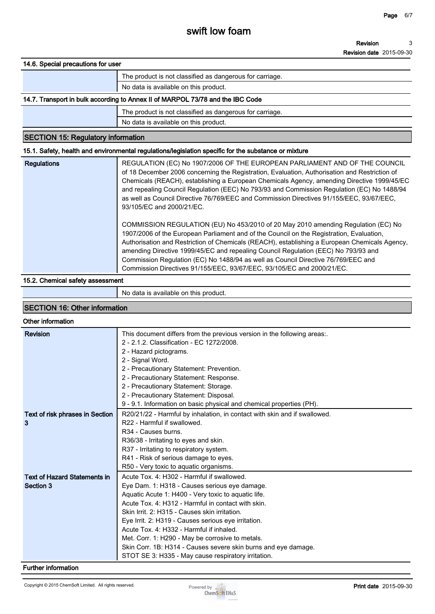#### **Revision Revision date 2015-09-30 3**

#### **14.6. Special precautions for user**

# **The product is not classified as dangerous for carriage.**

**No data is available on this product.**

## **14.7. Transport in bulk according to Annex II of MARPOL 73/78 and the IBC Code**

**The product is not classified as dangerous for carriage.**

## **No data is available on this product.**

## **SECTION 15: Regulatory information**

#### **15.1. Safety, health and environmental regulations/legislation specific for the substance or mixture**

| <b>Regulations</b> | REGULATION (EC) No 1907/2006 OF THE EUROPEAN PARLIAMENT AND OF THE COUNCIL<br>of 18 December 2006 concerning the Registration, Evaluation, Authorisation and Restriction of<br>Chemicals (REACH), establishing a European Chemicals Agency, amending Directive 1999/45/EC<br>and repealing Council Regulation (EEC) No 793/93 and Commission Regulation (EC) No 1488/94<br>as well as Council Directive 76/769/EEC and Commission Directives 91/155/EEC, 93/67/EEC,<br>93/105/EC and 2000/21/EC.                                    |
|--------------------|-------------------------------------------------------------------------------------------------------------------------------------------------------------------------------------------------------------------------------------------------------------------------------------------------------------------------------------------------------------------------------------------------------------------------------------------------------------------------------------------------------------------------------------|
|                    | COMMISSION REGULATION (EU) No 453/2010 of 20 May 2010 amending Regulation (EC) No<br>1907/2006 of the European Parliament and of the Council on the Registration, Evaluation,<br>Authorisation and Restriction of Chemicals (REACH), establishing a European Chemicals Agency,<br>amending Directive 1999/45/EC and repealing Council Regulation (EEC) No 793/93 and<br>Commission Regulation (EC) No 1488/94 as well as Council Directive 76/769/EEC and<br>Commission Directives 91/155/EEC, 93/67/EEC, 93/105/EC and 2000/21/EC. |

#### **15.2. Chemical safety assessment**

**No data is available on this product.**

## **SECTION 16: Other information**

#### **Other information**

| <b>Revision</b>                     | This document differs from the previous version in the following areas.   |
|-------------------------------------|---------------------------------------------------------------------------|
|                                     | 2 - 2.1.2. Classification - EC 1272/2008.                                 |
|                                     | 2 - Hazard pictograms.                                                    |
|                                     | 2 - Signal Word.                                                          |
|                                     | 2 - Precautionary Statement: Prevention.                                  |
|                                     | 2 - Precautionary Statement: Response.                                    |
|                                     | 2 - Precautionary Statement: Storage.                                     |
|                                     | 2 - Precautionary Statement: Disposal.                                    |
|                                     | 9 - 9.1. Information on basic physical and chemical properties (PH).      |
| Text of risk phrases in Section     | R20/21/22 - Harmful by inhalation, in contact with skin and if swallowed. |
| 3                                   | R22 - Harmful if swallowed.                                               |
|                                     | R <sub>34</sub> - Causes burns.                                           |
|                                     | R36/38 - Irritating to eyes and skin.                                     |
|                                     | R37 - Irritating to respiratory system.                                   |
|                                     | R41 - Risk of serious damage to eyes.                                     |
|                                     | R50 - Very toxic to aquatic organisms.                                    |
| <b>Text of Hazard Statements in</b> | Acute Tox. 4: H302 - Harmful if swallowed.                                |
| Section 3                           | Eye Dam. 1: H318 - Causes serious eye damage.                             |
|                                     | Aquatic Acute 1: H400 - Very toxic to aquatic life.                       |
|                                     | Acute Tox. 4: H312 - Harmful in contact with skin.                        |
|                                     | Skin Irrit. 2: H315 - Causes skin irritation.                             |
|                                     | Eye Irrit. 2: H319 - Causes serious eye irritation.                       |
|                                     | Acute Tox. 4: H332 - Harmful if inhaled.                                  |
|                                     | Met. Corr. 1: H290 - May be corrosive to metals.                          |
|                                     | Skin Corr. 1B: H314 - Causes severe skin burns and eye damage.            |
|                                     | STOT SE 3: H335 - May cause respiratory irritation.                       |

#### **Further information**